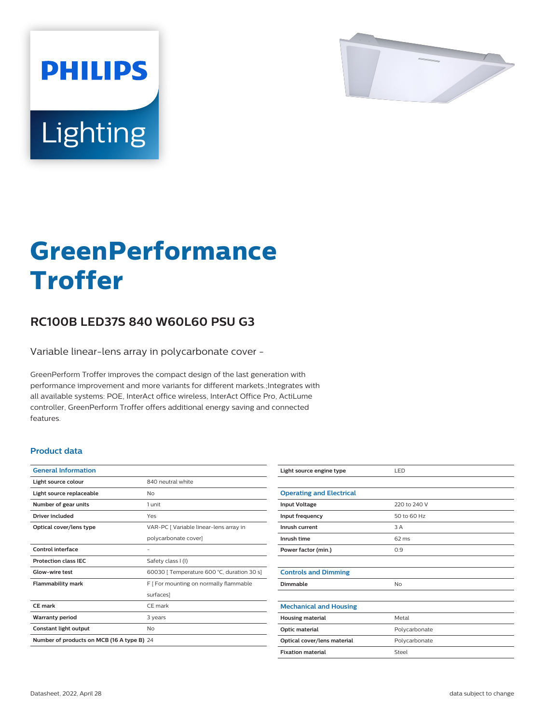

# Lighting

**PHILIPS** 

# **GreenPerformance Troffer**

## **RC100B LED37S 840 W60L60 PSU G3**

Variable linear-lens array in polycarbonate cover -

GreenPerform Troffer improves the compact design of the last generation with performance improvement and more variants for different markets.;Integrates with all available systems: POE, InterAct office wireless, InterAct Office Pro, ActiLume controller, GreenPerform Troffer offers additional energy saving and connected features.

#### **Product data**

| <b>General Information</b>                 |                                            |
|--------------------------------------------|--------------------------------------------|
| Light source colour                        | 840 neutral white                          |
| Light source replaceable                   | Nο                                         |
| Number of gear units                       | 1 unit                                     |
| Driver included                            | Yes                                        |
| Optical cover/lens type                    | VAR-PC   Variable linear-lens array in     |
|                                            | polycarbonate cover]                       |
| Control interface                          |                                            |
| <b>Protection class IEC</b>                | Safety class I (I)                         |
| Glow-wire test                             | 60030   Temperature 600 °C, duration 30 s] |
| <b>Flammability mark</b>                   | F   For mounting on normally flammable     |
|                                            | surfaces]                                  |
| CE mark                                    | CF mark                                    |
| <b>Warranty period</b>                     | 3 years                                    |
| Constant light output                      | No                                         |
| Number of products on MCB (16 A type B) 24 |                                            |

| Light source engine type        | LED             |
|---------------------------------|-----------------|
|                                 |                 |
| <b>Operating and Electrical</b> |                 |
| <b>Input Voltage</b>            | 220 to 240 V    |
| Input frequency                 | 50 to 60 Hz     |
| Inrush current                  | 3 A             |
| Inrush time                     | $62 \text{ ms}$ |
| Power factor (min.)             | 0.9             |
|                                 |                 |
| <b>Controls and Dimming</b>     |                 |
| Dimmable                        | No              |
|                                 |                 |
| <b>Mechanical and Housing</b>   |                 |
| <b>Housing material</b>         | Metal           |
| Optic material                  | Polycarbonate   |
| Optical cover/lens material     | Polycarbonate   |
| <b>Fixation material</b>        | Steel           |
|                                 |                 |